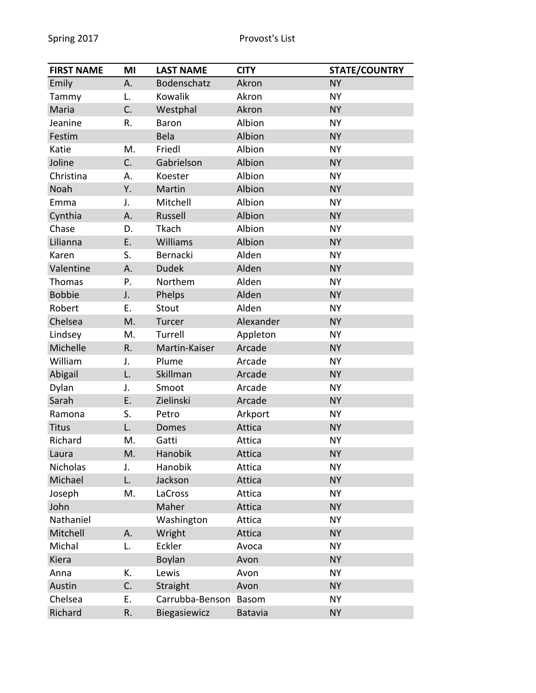| <b>FIRST NAME</b> | MI | <b>LAST NAME</b> | <b>CITY</b>    | <b>STATE/COUNTRY</b> |
|-------------------|----|------------------|----------------|----------------------|
| Emily             | А. | Bodenschatz      | Akron          | <b>NY</b>            |
| Tammy             | L. | Kowalik          | Akron          | <b>NY</b>            |
| Maria             | C. | Westphal         | Akron          | <b>NY</b>            |
| Jeanine           | R. | Baron            | Albion         | <b>NY</b>            |
| Festim            |    | Bela             | Albion         | <b>NY</b>            |
| Katie             | M. | Friedl           | Albion         | <b>NY</b>            |
| Joline            | C. | Gabrielson       | Albion         | <b>NY</b>            |
| Christina         | А. | Koester          | Albion         | <b>NY</b>            |
| Noah              | Υ. | Martin           | Albion         | <b>NY</b>            |
| Emma              | J. | Mitchell         | Albion         | <b>NY</b>            |
| Cynthia           | Α. | Russell          | Albion         | <b>NY</b>            |
| Chase             | D. | Tkach            | Albion         | <b>NY</b>            |
| Lilianna          | E. | Williams         | Albion         | <b>NY</b>            |
| Karen             | S. | Bernacki         | Alden          | <b>NY</b>            |
| Valentine         | Α. | <b>Dudek</b>     | Alden          | <b>NY</b>            |
| Thomas            | Ρ. | Northem          | Alden          | <b>NY</b>            |
| <b>Bobbie</b>     | J. | Phelps           | Alden          | <b>NY</b>            |
| Robert            | Ε. | Stout            | Alden          | <b>NY</b>            |
| Chelsea           | M. | Turcer           | Alexander      | <b>NY</b>            |
| Lindsey           | Μ. | Turrell          | Appleton       | <b>NY</b>            |
| Michelle          | R. | Martin-Kaiser    | Arcade         | <b>NY</b>            |
| William           | J. | Plume            | Arcade         | <b>NY</b>            |
| Abigail           | L. | Skillman         | Arcade         | <b>NY</b>            |
| Dylan             | J. | Smoot            | Arcade         | <b>NY</b>            |
| Sarah             | Ε. | Zielinski        | Arcade         | <b>NY</b>            |
| Ramona            | S. | Petro            | Arkport        | <b>NY</b>            |
| <b>Titus</b>      | L. | <b>Domes</b>     | Attica         | <b>NY</b>            |
| Richard           | Μ. | Gatti            | Attica         | <b>NY</b>            |
| Laura             | M. | Hanobik          | Attica         | <b>NY</b>            |
| Nicholas          | J. | Hanobik          | Attica         | <b>NY</b>            |
| Michael           | L. | Jackson          | Attica         | <b>NY</b>            |
| Joseph            | M. | LaCross          | Attica         | <b>NY</b>            |
| John              |    | Maher            | Attica         | <b>NY</b>            |
| Nathaniel         |    | Washington       | Attica         | <b>NY</b>            |
| Mitchell          | Α. | Wright           | Attica         | <b>NY</b>            |
| Michal            | L. | Eckler           | Avoca          | <b>NY</b>            |
| Kiera             |    | Boylan           | Avon           | <b>NY</b>            |
| Anna              | Κ. | Lewis            | Avon           | <b>NY</b>            |
| Austin            | C. | Straight         | Avon           | <b>NY</b>            |
| Chelsea           | Е. | Carrubba-Benson  | <b>Basom</b>   | <b>NY</b>            |
| Richard           | R. | Biegasiewicz     | <b>Batavia</b> | <b>NY</b>            |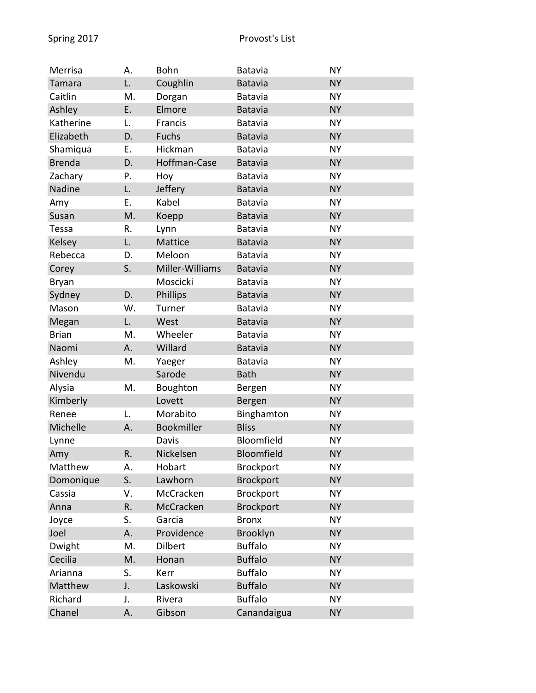| Merrisa       | А. | Bohn            | <b>Batavia</b>   | <b>NY</b> |
|---------------|----|-----------------|------------------|-----------|
| Tamara        | L. | Coughlin        | <b>Batavia</b>   | <b>NY</b> |
| Caitlin       | M. | Dorgan          | Batavia          | <b>NY</b> |
| Ashley        | Ε. | Elmore          | <b>Batavia</b>   | <b>NY</b> |
| Katherine     | L. | Francis         | <b>Batavia</b>   | <b>NY</b> |
| Elizabeth     | D. | <b>Fuchs</b>    | <b>Batavia</b>   | <b>NY</b> |
| Shamiqua      | Ε. | Hickman         | <b>Batavia</b>   | <b>NY</b> |
| <b>Brenda</b> | D. | Hoffman-Case    | <b>Batavia</b>   | <b>NY</b> |
| Zachary       | Ρ. | Hoy             | Batavia          | <b>NY</b> |
| Nadine        | L. | Jeffery         | <b>Batavia</b>   | <b>NY</b> |
| Amy           | Ε. | Kabel           | <b>Batavia</b>   | <b>NY</b> |
| Susan         | M. | Koepp           | <b>Batavia</b>   | <b>NY</b> |
| Tessa         | R. | Lynn            | <b>Batavia</b>   | <b>NY</b> |
| Kelsey        | L. | Mattice         | <b>Batavia</b>   | <b>NY</b> |
| Rebecca       | D. | Meloon          | <b>Batavia</b>   | <b>NY</b> |
| Corey         | S. | Miller-Williams | Batavia          | <b>NY</b> |
| Bryan         |    | Moscicki        | <b>Batavia</b>   | <b>NY</b> |
| Sydney        | D. | Phillips        | <b>Batavia</b>   | <b>NY</b> |
| Mason         | W. | Turner          | <b>Batavia</b>   | <b>NY</b> |
| Megan         | L. | West            | <b>Batavia</b>   | <b>NY</b> |
| <b>Brian</b>  | M. | Wheeler         | <b>Batavia</b>   | <b>NY</b> |
| Naomi         | Α. | Willard         | <b>Batavia</b>   | <b>NY</b> |
| Ashley        | M. | Yaeger          | <b>Batavia</b>   | <b>NY</b> |
| Nivendu       |    | Sarode          | <b>Bath</b>      | <b>NY</b> |
| Alysia        | M. | Boughton        | Bergen           | <b>NY</b> |
| Kimberly      |    | Lovett          | Bergen           | <b>NY</b> |
| Renee         | L. | Morabito        | Binghamton       | <b>NY</b> |
| Michelle      | Α. | Bookmiller      | <b>Bliss</b>     | <b>NY</b> |
| Lynne         |    | Davis           | Bloomfield       | <b>NY</b> |
| Amy           | R. | Nickelsen       | Bloomfield       | <b>NY</b> |
| Matthew       | А. | Hobart          | <b>Brockport</b> | <b>NY</b> |
| Domonique     | S. | Lawhorn         | <b>Brockport</b> | <b>NY</b> |
| Cassia        | V. | McCracken       | <b>Brockport</b> | <b>NY</b> |
| Anna          | R. | McCracken       | <b>Brockport</b> | <b>NY</b> |
| Joyce         | S. | Garcia          | <b>Bronx</b>     | <b>NY</b> |
| Joel          | Α. | Providence      | Brooklyn         | <b>NY</b> |
| Dwight        | M. | <b>Dilbert</b>  | <b>Buffalo</b>   | <b>NY</b> |
| Cecilia       | M. | Honan           | <b>Buffalo</b>   | <b>NY</b> |
| Arianna       | S. | Kerr            | <b>Buffalo</b>   | <b>NY</b> |
| Matthew       | J. | Laskowski       | <b>Buffalo</b>   | <b>NY</b> |
| Richard       | J. | Rivera          | <b>Buffalo</b>   | <b>NY</b> |
| Chanel        | Α. | Gibson          | Canandaigua      | <b>NY</b> |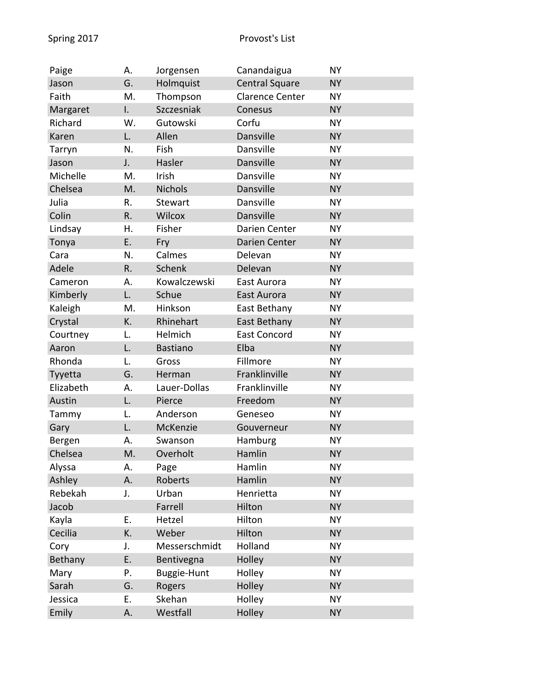| Paige     | Α. | Jorgensen       | Canandaigua            | <b>NY</b> |
|-----------|----|-----------------|------------------------|-----------|
| Jason     | G. | Holmquist       | <b>Central Square</b>  | <b>NY</b> |
| Faith     | M. | Thompson        | <b>Clarence Center</b> | <b>NY</b> |
| Margaret  | I. | Szczesniak      | Conesus                | <b>NY</b> |
| Richard   | W. | Gutowski        | Corfu                  | <b>NY</b> |
| Karen     | L. | Allen           | Dansville              | <b>NY</b> |
| Tarryn    | N. | Fish            | Dansville              | <b>NY</b> |
| Jason     | J. | Hasler          | <b>Dansville</b>       | <b>NY</b> |
| Michelle  | Μ. | Irish           | Dansville              | <b>NY</b> |
| Chelsea   | M. | <b>Nichols</b>  | Dansville              | <b>NY</b> |
| Julia     | R. | Stewart         | Dansville              | <b>NY</b> |
| Colin     | R. | Wilcox          | Dansville              | <b>NY</b> |
| Lindsay   | Η. | Fisher          | Darien Center          | <b>NY</b> |
| Tonya     | Ε. | Fry             | Darien Center          | <b>NY</b> |
| Cara      | N. | Calmes          | Delevan                | <b>NY</b> |
| Adele     | R. | Schenk          | Delevan                | <b>NY</b> |
| Cameron   | А. | Kowalczewski    | East Aurora            | <b>NY</b> |
| Kimberly  | L. | Schue           | East Aurora            | <b>NY</b> |
| Kaleigh   | М. | Hinkson         | East Bethany           | <b>NY</b> |
| Crystal   | K. | Rhinehart       | East Bethany           | <b>NY</b> |
| Courtney  | L. | Helmich         | <b>East Concord</b>    | <b>NY</b> |
| Aaron     | L. | <b>Bastiano</b> | Elba                   | <b>NY</b> |
| Rhonda    | L. | Gross           | Fillmore               | <b>NY</b> |
| Tyyetta   | G. | Herman          | Franklinville          | <b>NY</b> |
| Elizabeth | А. | Lauer-Dollas    | Franklinville          | <b>NY</b> |
| Austin    | L. | Pierce          | Freedom                | <b>NY</b> |
| Tammy     | L. | Anderson        | Geneseo                | <b>NY</b> |
| Gary      | L. | McKenzie        | Gouverneur             | <b>NY</b> |
| Bergen    | А. | Swanson         | Hamburg                | <b>NY</b> |
| Chelsea   | M. | Overholt        | Hamlin                 | <b>NY</b> |
| Alyssa    | А. | Page            | Hamlin                 | <b>NY</b> |
| Ashley    | Α. | Roberts         | Hamlin                 | <b>NY</b> |
| Rebekah   | J. | Urban           | Henrietta              | <b>NY</b> |
| Jacob     |    | Farrell         | Hilton                 | <b>NY</b> |
| Kayla     | Е. | Hetzel          | Hilton                 | <b>NY</b> |
| Cecilia   | K. | Weber           | Hilton                 | <b>NY</b> |
| Cory      | J. | Messerschmidt   | Holland                | <b>NY</b> |
| Bethany   | Ε. | Bentivegna      | Holley                 | <b>NY</b> |
| Mary      | Ρ. | Buggie-Hunt     | Holley                 | <b>NY</b> |
| Sarah     | G. | Rogers          | Holley                 | <b>NY</b> |
| Jessica   | Е. | Skehan          | Holley                 | <b>NY</b> |
| Emily     | Α. | Westfall        | Holley                 | <b>NY</b> |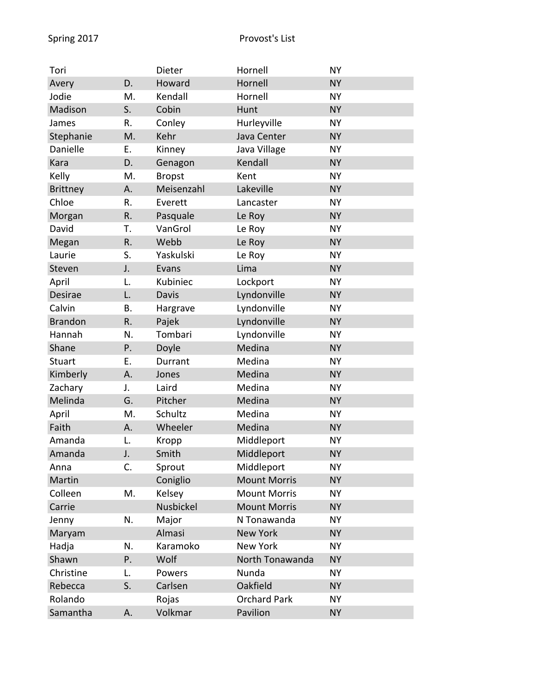| Tori            |    | Dieter        | Hornell             | <b>NY</b> |
|-----------------|----|---------------|---------------------|-----------|
| Avery           | D. | Howard        | Hornell             | <b>NY</b> |
| Jodie           | M. | Kendall       | Hornell             | <b>NY</b> |
| Madison         | S. | Cobin         | Hunt                | <b>NY</b> |
| James           | R. | Conley        | Hurleyville         | <b>NY</b> |
| Stephanie       | M. | Kehr          | Java Center         | <b>NY</b> |
| Danielle        | Ε. | Kinney        | Java Village        | <b>NY</b> |
| Kara            | D. | Genagon       | Kendall             | <b>NY</b> |
| Kelly           | M. | <b>Bropst</b> | Kent                | <b>NY</b> |
| <b>Brittney</b> | Α. | Meisenzahl    | Lakeville           | <b>NY</b> |
| Chloe           | R. | Everett       | Lancaster           | <b>NY</b> |
| Morgan          | R. | Pasquale      | Le Roy              | <b>NY</b> |
| David           | Т. | VanGrol       | Le Roy              | <b>NY</b> |
| Megan           | R. | Webb          | Le Roy              | <b>NY</b> |
| Laurie          | S. | Yaskulski     | Le Roy              | <b>NY</b> |
| Steven          | J. | Evans         | Lima                | <b>NY</b> |
| April           | L. | Kubiniec      | Lockport            | <b>NY</b> |
| Desirae         | L. | Davis         | Lyndonville         | <b>NY</b> |
| Calvin          | Β. | Hargrave      | Lyndonville         | <b>NY</b> |
| <b>Brandon</b>  | R. | Pajek         | Lyndonville         | <b>NY</b> |
| Hannah          | N. | Tombari       | Lyndonville         | <b>NY</b> |
| Shane           | P. | Doyle         | Medina              | <b>NY</b> |
| <b>Stuart</b>   | Ε. | Durrant       | Medina              | <b>NY</b> |
| Kimberly        | Α. | Jones         | Medina              | <b>NY</b> |
| Zachary         | J. | Laird         | Medina              | <b>NY</b> |
| Melinda         | G. | Pitcher       | Medina              | <b>NY</b> |
| April           | М. | Schultz       | Medina              | <b>NY</b> |
| Faith           | А. | Wheeler       | Medina              | <b>NY</b> |
| Amanda          | L. | Kropp         | Middleport          | <b>NY</b> |
| Amanda          | J. | Smith         | Middleport          | <b>NY</b> |
| Anna            | C. | Sprout        | Middleport          | <b>NY</b> |
| Martin          |    | Coniglio      | <b>Mount Morris</b> | <b>NY</b> |
| Colleen         | M. | Kelsey        | <b>Mount Morris</b> | <b>NY</b> |
| Carrie          |    | Nusbickel     | <b>Mount Morris</b> | <b>NY</b> |
| Jenny           | N. | Major         | N Tonawanda         | <b>NY</b> |
| Maryam          |    | Almasi        | <b>New York</b>     | <b>NY</b> |
| Hadja           | N. | Karamoko      | <b>New York</b>     | <b>NY</b> |
| Shawn           | Ρ. | Wolf          | North Tonawanda     | <b>NY</b> |
| Christine       | L. | Powers        | Nunda               | <b>NY</b> |
| Rebecca         | S. | Carlsen       | Oakfield            | <b>NY</b> |
| Rolando         |    | Rojas         | <b>Orchard Park</b> | <b>NY</b> |
| Samantha        | Α. | Volkmar       | Pavilion            | <b>NY</b> |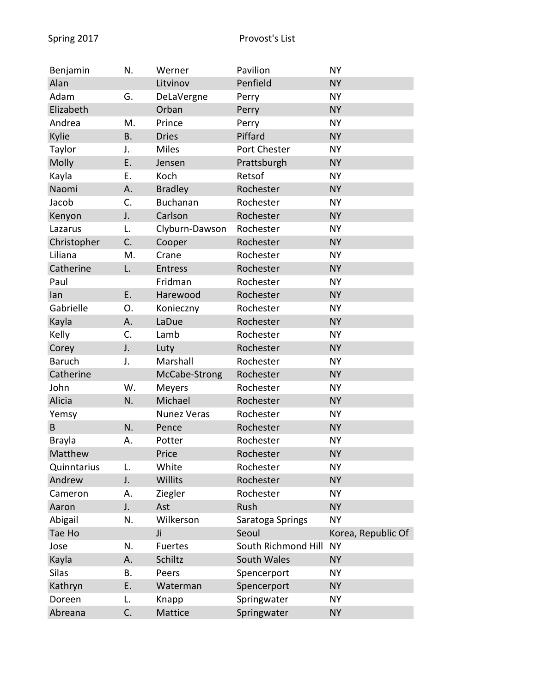| Benjamin      | N.        | Werner             | Pavilion            | <b>NY</b>          |
|---------------|-----------|--------------------|---------------------|--------------------|
| Alan          |           | Litvinov           | Penfield            | <b>NY</b>          |
| Adam          | G.        | DeLaVergne         | Perry               | <b>NY</b>          |
| Elizabeth     |           | Orban              | Perry               | <b>NY</b>          |
| Andrea        | M.        | Prince             | Perry               | <b>NY</b>          |
| Kylie         | <b>B.</b> | <b>Dries</b>       | Piffard             | <b>NY</b>          |
| Taylor        | J.        | <b>Miles</b>       | Port Chester        | <b>NY</b>          |
| Molly         | Ε.        | Jensen             | Prattsburgh         | <b>NY</b>          |
| Kayla         | Ε.        | Koch               | Retsof              | <b>NY</b>          |
| Naomi         | Α.        | <b>Bradley</b>     | Rochester           | <b>NY</b>          |
| Jacob         | C.        | <b>Buchanan</b>    | Rochester           | <b>NY</b>          |
| Kenyon        | J.        | Carlson            | Rochester           | <b>NY</b>          |
| Lazarus       | L.        | Clyburn-Dawson     | Rochester           | <b>NY</b>          |
| Christopher   | C.        | Cooper             | Rochester           | <b>NY</b>          |
| Liliana       | M.        | Crane              | Rochester           | <b>NY</b>          |
| Catherine     | L.        | Entress            | Rochester           | <b>NY</b>          |
| Paul          |           | Fridman            | Rochester           | <b>NY</b>          |
| lan           | E.        | Harewood           | Rochester           | <b>NY</b>          |
| Gabrielle     | 0.        | Konieczny          | Rochester           | <b>NY</b>          |
| Kayla         | А.        | LaDue              | Rochester           | <b>NY</b>          |
| Kelly         | C.        | Lamb               | Rochester           | <b>NY</b>          |
| Corey         | J.        | Luty               | Rochester           | <b>NY</b>          |
| <b>Baruch</b> | J.        | Marshall           | Rochester           | <b>NY</b>          |
| Catherine     |           | McCabe-Strong      | Rochester           | <b>NY</b>          |
| John          | W.        | Meyers             | Rochester           | <b>NY</b>          |
| Alicia        | N.        | Michael            | Rochester           | <b>NY</b>          |
| Yemsy         |           | <b>Nunez Veras</b> | Rochester           | <b>NY</b>          |
| B             | N.        | Pence              | Rochester           | <b>NY</b>          |
| <b>Brayla</b> | А.        | Potter             | Rochester           | <b>NY</b>          |
| Matthew       |           | Price              | Rochester           | <b>NY</b>          |
| Quinntarius   | L.        | White              | Rochester           | <b>NY</b>          |
| Andrew        | J.        | Willits            | Rochester           | <b>NY</b>          |
| Cameron       | А.        | Ziegler            | Rochester           | <b>NY</b>          |
| Aaron         | J.        | Ast                | Rush                | <b>NY</b>          |
| Abigail       | N.        | Wilkerson          | Saratoga Springs    | <b>NY</b>          |
| Tae Ho        |           | Ji                 | Seoul               | Korea, Republic Of |
| Jose          | N.        | <b>Fuertes</b>     | South Richmond Hill | <b>NY</b>          |
| Kayla         | Α.        | Schiltz            | South Wales         | <b>NY</b>          |
| Silas         | В.        | Peers              | Spencerport         | <b>NY</b>          |
| Kathryn       | Ε.        | Waterman           | Spencerport         | <b>NY</b>          |
| Doreen        | L.        | Knapp              | Springwater         | <b>NY</b>          |
| Abreana       | C.        | Mattice            | Springwater         | <b>NY</b>          |